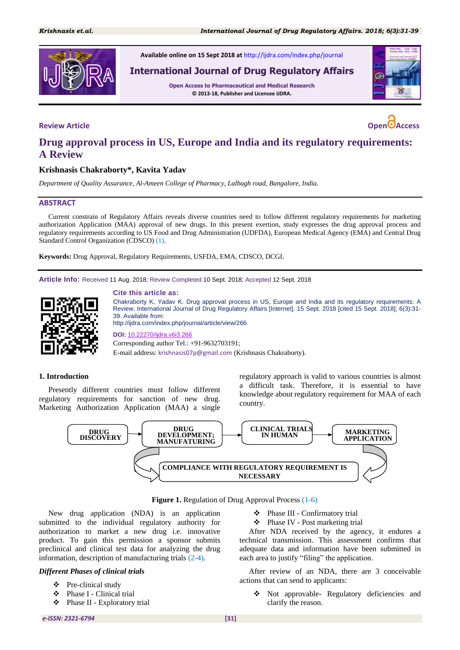

**Available online on 15 Sept 2018 at** <http://ijdra.com/index.php/journal>

# **International Journal of Drug Regulatory Affairs**

**Open Access to Pharmaceutical and Medical Research © 2013-18, Publisher and Licensee IJDRA.**



# **Drug approval process in US, Europe and India and its regulatory requirements: A Review**

## **Krishnasis Chakraborty\*, Kavita Yadav**

*Department of Quality Assurance, Al-Ameen College of Pharmacy, Lalbagh road, Bangalore, India.*

### **ABSTRACT**

Current constrain of Regulatory Affairs reveals diverse countries need to follow different regulatory requirements for marketing authorization Application (MAA) approval of new drugs. In this present exertion, study expresses the drug approval process and regulatory requirements according to US Food and Drug Administration (UDFDA), European Medical Agency (EMA) and Central Drug Standard Control Organization (CDSCO) [\(1\)](#page-7-0).

**Keywords:** Drug Approval, Regulatory Requirements, USFDA, EMA, CDSCO, DCGI.

**Article Info:** Received 11 Aug. 2018; Review Completed 10 Sept. 2018; Accepted 12 Sept. 2018



#### **Cite this article as:**

Chakraborty K, Yadav K. Drug approval process in US, Europe and India and its regulatory requirements: A Review. International Journal of Drug Regulatory Affairs [Internet]. 15 Sept. 2018 [cited 15 Sept. 2018]; 6(3):31- 39. Available from:

http://ijdra.com/index.php/journal/article/view/266

**DOI:** [10.22270/ijdra.v6i3.266](https://doi.org/10.22270/ijdra.v6i3.266) Corresponding author Tel.: +91-9632703191;

E-mail address: krishnasis07p@gmail.com (Krishnasis Chakraborty).

#### **1. Introduction**

Presently different countries must follow different regulatory requirements for sanction of new drug. Marketing Authorization Application (MAA) a single

regulatory approach is valid to various countries is almost a difficult task. Therefore, it is essential to have knowledge about regulatory requirement for MAA of each country.



**Figure 1.** Regulation of Drug Approval Process [\(1](#page-7-0)[-6\)](#page-7-1)

New drug application (NDA) is an application submitted to the individual regulatory authority for authorization to market a new drug i.e. innovative product. To gain this permission a sponsor submits preclinical and clinical test data for analyzing the drug information, description of manufacturing trials [\(2](#page-7-2)[-4\)](#page-7-3).

#### *Different Phases of clinical trials*

- Pre-clinical study
- Phase I Clinical trial
- Phase II Exploratory trial
- Phase III Confirmatory trial
- Phase IV Post marketing trial

After NDA received by the agency, it endures a technical transmission. This assessment confirms that adequate data and information have been submitted in each area to justify "filing" the application.

After review of an NDA, there are 3 conceivable actions that can send to applicants:

 Not approvable- Regulatory deficiencies and clarify the reason.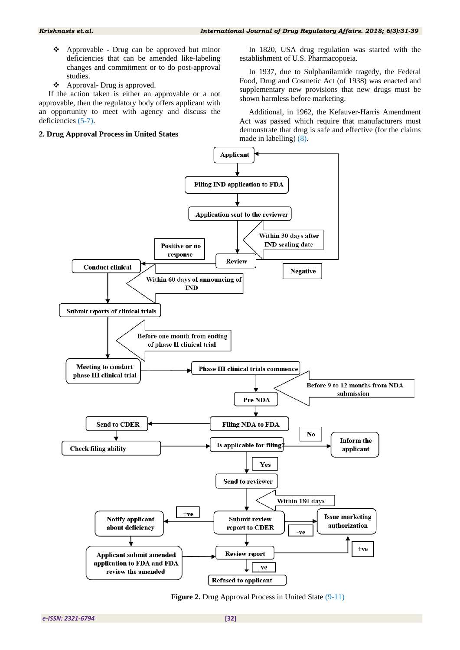- Approvable Drug can be approved but minor deficiencies that can be amended like-labeling changes and commitment or to do post-approval studies.
- Approval- Drug is approved.

If the action taken is either an approvable or a not approvable, then the regulatory body offers applicant with an opportunity to meet with agency and discuss the deficiencies [\(5](#page-7-4)[-7\)](#page-7-5).

### **2. Drug Approval Process in United States**

In 1820, USA drug regulation was started with the establishment of U.S. Pharmacopoeia.

In 1937, due to Sulphanilamide tragedy, the Federal Food, Drug and Cosmetic Act (of 1938) was enacted and supplementary new provisions that new drugs must be shown harmless before marketing.

Additional, in 1962, the Kefauver-Harris Amendment Act was passed which require that manufacturers must demonstrate that drug is safe and effective (for the claims made in labelling) [\(8\)](#page-7-6).



**Figure 2.** Drug Approval Process in United State [\(9](#page-7-7)[-11\)](#page-7-8)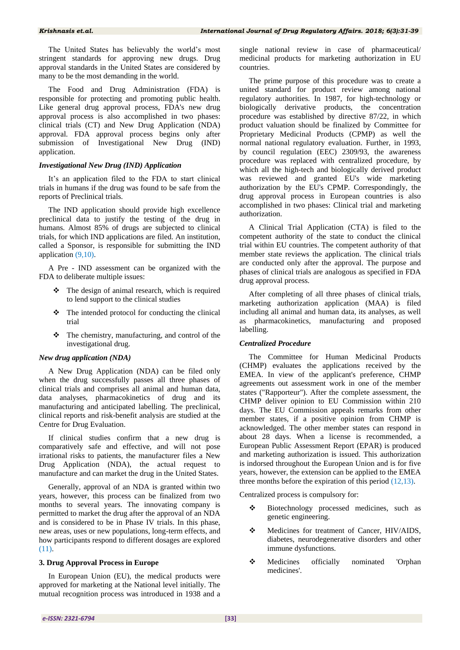The United States has believably the world's most stringent standards for approving new drugs. Drug approval standards in the United States are considered by many to be the most demanding in the world.

The Food and Drug Administration (FDA) is responsible for protecting and promoting public health. Like general drug approval process, FDA's new drug approval process is also accomplished in two phases: clinical trials (CT) and New Drug Application (NDA) approval. FDA approval process begins only after submission of Investigational New Drug (IND) application.

#### *Investigational New Drug (IND) Application*

It's an application filed to the FDA to start clinical trials in humans if the drug was found to be safe from the reports of Preclinical trials.

The IND application should provide high excellence preclinical data to justify the testing of the drug in humans. Almost 85% of drugs are subjected to clinical trials, for which IND applications are filed. An institution, called a Sponsor, is responsible for submitting the IND application [\(9,](#page-7-7)[10\)](#page-7-9).

A Pre - IND assessment can be organized with the FDA to deliberate multiple issues:

- The design of animal research, which is required to lend support to the clinical studies
- $\triangle$  The intended protocol for conducting the clinical trial
- $\div$  The chemistry, manufacturing, and control of the investigational drug.

#### *New drug application (NDA)*

A New Drug Application (NDA) can be filed only when the drug successfully passes all three phases of clinical trials and comprises all animal and human data, data analyses, pharmacokinetics of drug and its manufacturing and anticipated labelling. The preclinical, clinical reports and risk-benefit analysis are studied at the Centre for Drug Evaluation.

If clinical studies confirm that a new drug is comparatively safe and effective, and will not pose irrational risks to patients, the manufacturer files a New Drug Application (NDA), the actual request to manufacture and can market the drug in the United States.

Generally, approval of an NDA is granted within two years, however, this process can be finalized from two months to several years. The innovating company is permitted to market the drug after the approval of an NDA and is considered to be in Phase IV trials. In this phase, new areas, uses or new populations, long-term effects, and how participants respond to different dosages are explored [\(11\)](#page-7-8).

#### **3. Drug Approval Process in Europe**

In European Union (EU), the medical products were approved for marketing at the National level initially. The mutual recognition process was introduced in 1938 and a

single national review in case of pharmaceutical/ medicinal products for marketing authorization in EU countries.

The prime purpose of this procedure was to create a united standard for product review among national regulatory authorities. In 1987, for high-technology or biologically derivative products, the concentration procedure was established by directive 87/22, in which product valuation should be finalized by Committee for Proprietary Medicinal Products (CPMP) as well the normal national regulatory evaluation. Further, in 1993, by council regulation (EEC) 2309/93, the awareness procedure was replaced with centralized procedure, by which all the high-tech and biologically derived product was reviewed and granted EU's wide marketing authorization by the EU's CPMP. Correspondingly, the drug approval process in European countries is also accomplished in two phases: Clinical trial and marketing authorization.

A Clinical Trial Application (CTA) is filed to the competent authority of the state to conduct the clinical trial within EU countries. The competent authority of that member state reviews the application. The clinical trials are conducted only after the approval. The purpose and phases of clinical trials are analogous as specified in FDA drug approval process.

After completing of all three phases of clinical trials, marketing authorization application (MAA) is filed including all animal and human data, its analyses, as well as pharmacokinetics, manufacturing and proposed labelling.

#### *Centralized Procedure*

The Committee for Human Medicinal Products (CHMP) evaluates the applications received by the EMEA. In view of the applicant's preference, CHMP agreements out assessment work in one of the member states ("Rapporteur"). After the complete assessment, the CHMP deliver opinion to EU Commission within 210 days. The EU Commission appeals remarks from other member states, if a positive opinion from CHMP is acknowledged. The other member states can respond in about 28 days. When a license is recommended, a European Public Assessment Report (EPAR) is produced and marketing authorization is issued. This authorization is indorsed throughout the European Union and is for five years, however, the extension can be applied to the EMEA three months before the expiration of this period  $(12,13)$  $(12,13)$ .

Centralized process is compulsory for:

- Biotechnology processed medicines, such as genetic engineering.
- \* Medicines for treatment of Cancer, HIV/AIDS, diabetes, neurodegenerative disorders and other immune dysfunctions.
- Medicines officially nominated 'Orphan medicines'.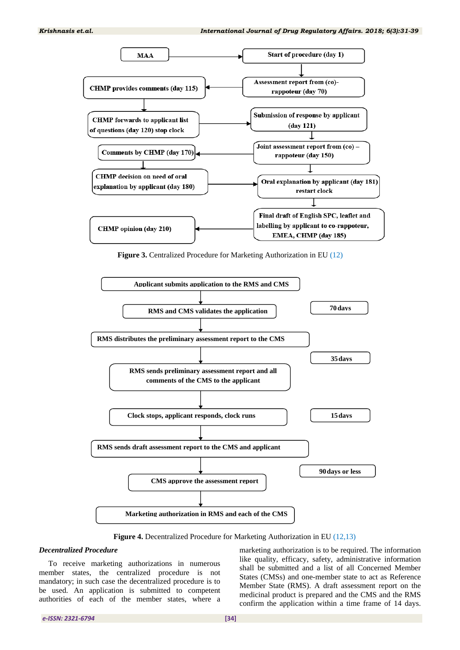

**Figure 3.** Centralized Procedure for Marketing Authorization in EU (12)



**Figure 4.** Decentralized Procedure for Marketing Authorization in EU [\(12](#page-7-10)[,13\)](#page-7-11)

#### *Decentralized Procedure*

To receive marketing authorizations in numerous member states, the centralized procedure is not mandatory; in such case the decentralized procedure is to be used. An application is submitted to competent authorities of each of the member states, where a

marketing authorization is to be required. The information like quality, efficacy, safety, administrative information shall be submitted and a list of all Concerned Member States (CMSs) and one-member state to act as Reference Member State (RMS). A draft assessment report on the medicinal product is prepared and the CMS and the RMS confirm the application within a time frame of 14 days.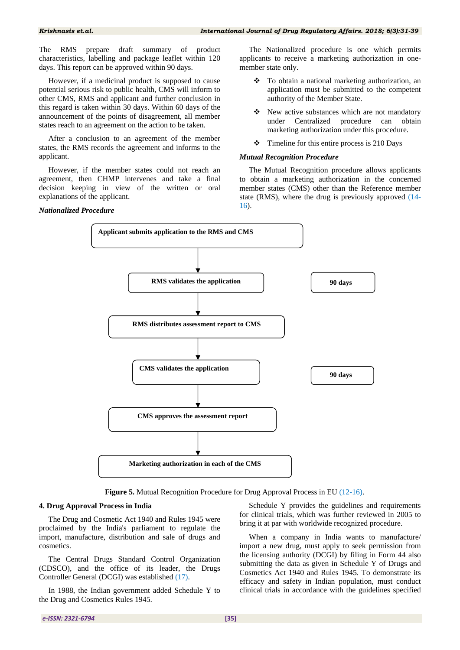The RMS prepare draft summary of product characteristics, labelling and package leaflet within 120 days. This report can be approved within 90 days.

However, if a medicinal product is supposed to cause potential serious risk to public health, CMS will inform to other CMS, RMS and applicant and further conclusion in this regard is taken within 30 days. Within 60 days of the announcement of the points of disagreement, all member states reach to an agreement on the action to be taken.

After a conclusion to an agreement of the member states, the RMS records the agreement and informs to the applicant.

However, if the member states could not reach an agreement, then CHMP intervenes and take a final decision keeping in view of the written or oral explanations of the applicant.

#### *Nationalized Procedure*

The Nationalized procedure is one which permits applicants to receive a marketing authorization in onemember state only.

- To obtain a national marketing authorization, an application must be submitted to the competent authority of the Member State.
- New active substances which are not mandatory under Centralized procedure can obtain marketing authorization under this procedure.
- $\div$  Timeline for this entire process is 210 Days

#### *Mutual Recognition Procedure*

The Mutual Recognition procedure allows applicants to obtain a marketing authorization in the concerned member states (CMS) other than the Reference member state (RMS), where the drug is previously approved [\(14-](#page-7-12) [16\)](#page-7-13).



**Figure 5.** Mutual Recognition Procedure for Drug Approval Process in EU [\(12-](#page-7-10)[16\)](#page-7-13).

#### **4. Drug Approval Process in India**

The Drug and Cosmetic Act 1940 and Rules 1945 were proclaimed by the India's parliament to regulate the import, manufacture, distribution and sale of drugs and cosmetics.

The Central Drugs Standard Control Organization (CDSCO), and the office of its leader, the Drugs Controller General (DCGI) was established [\(17\)](#page-7-14).

In 1988, the Indian government added Schedule Y to the Drug and Cosmetics Rules 1945.

Schedule Y provides the guidelines and requirements for clinical trials, which was further reviewed in 2005 to bring it at par with worldwide recognized procedure.

When a company in India wants to manufacture/ import a new drug, must apply to seek permission from the licensing authority (DCGI) by filing in Form 44 also submitting the data as given in Schedule Y of Drugs and Cosmetics Act 1940 and Rules 1945. To demonstrate its efficacy and safety in Indian population, must conduct clinical trials in accordance with the guidelines specified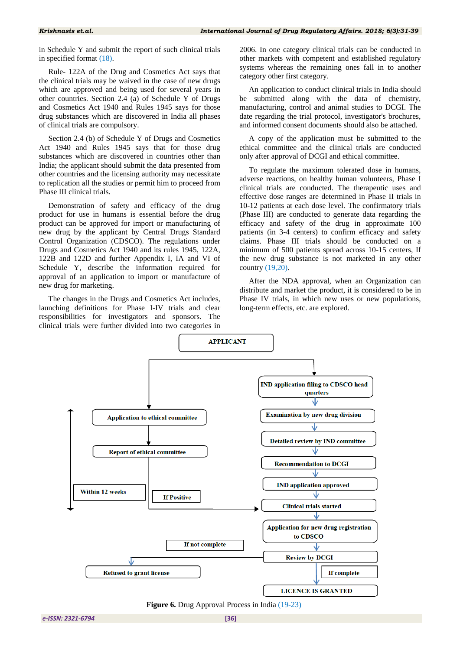in Schedule Y and submit the report of such clinical trials in specified format [\(18\)](#page-7-15).

Rule- 122A of the Drug and Cosmetics Act says that the clinical trials may be waived in the case of new drugs which are approved and being used for several years in other countries. Section 2.4 (a) of Schedule Y of Drugs and Cosmetics Act 1940 and Rules 1945 says for those drug substances which are discovered in India all phases of clinical trials are compulsory.

Section 2.4 (b) of Schedule Y of Drugs and Cosmetics Act 1940 and Rules 1945 says that for those drug substances which are discovered in countries other than India; the applicant should submit the data presented from other countries and the licensing authority may necessitate to replication all the studies or permit him to proceed from Phase III clinical trials.

Demonstration of safety and efficacy of the drug product for use in humans is essential before the drug product can be approved for import or manufacturing of new drug by the applicant by Central Drugs Standard Control Organization (CDSCO). The regulations under Drugs and Cosmetics Act 1940 and its rules 1945, 122A, 122B and 122D and further Appendix I, IA and VI of Schedule Y, describe the information required for approval of an application to import or manufacture of new drug for marketing.

The changes in the Drugs and Cosmetics Act includes, launching definitions for Phase I-IV trials and clear responsibilities for investigators and sponsors. The clinical trials were further divided into two categories in

2006. In one category clinical trials can be conducted in other markets with competent and established regulatory systems whereas the remaining ones fall in to another category other first category.

An application to conduct clinical trials in India should be submitted along with the data of chemistry, manufacturing, control and animal studies to DCGI. The date regarding the trial protocol, investigator's brochures, and informed consent documents should also be attached.

A copy of the application must be submitted to the ethical committee and the clinical trials are conducted only after approval of DCGI and ethical committee.

To regulate the maximum tolerated dose in humans, adverse reactions, on healthy human volunteers, Phase I clinical trials are conducted. The therapeutic uses and effective dose ranges are determined in Phase II trials in 10-12 patients at each dose level. The confirmatory trials (Phase III) are conducted to generate data regarding the efficacy and safety of the drug in approximate 100 patients (in 3-4 centers) to confirm efficacy and safety claims. Phase III trials should be conducted on a minimum of 500 patients spread across 10-15 centers, If the new drug substance is not marketed in any other country [\(19,](#page-7-16)[20\)](#page-8-0).

After the NDA approval, when an Organization can distribute and market the product, it is considered to be in Phase IV trials, in which new uses or new populations, long-term effects, etc. are explored.



**Figure 6.** Drug Approval Process in India [\(19](#page-7-16)[-23\)](#page-8-1)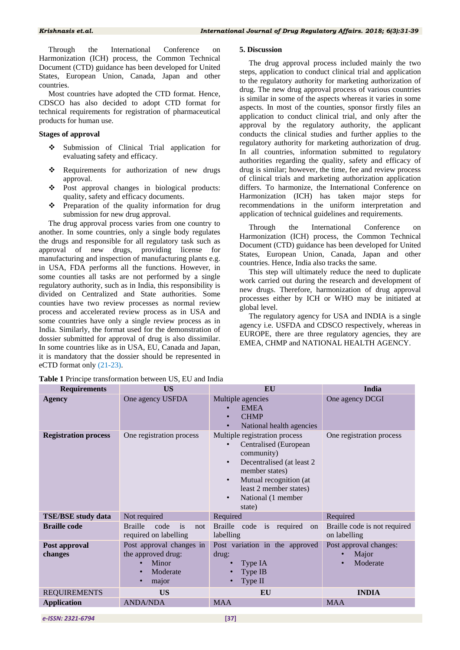The drug approval process included mainly the two steps, application to conduct clinical trial and application to the regulatory authority for marketing authorization of drug. The new drug approval process of various countries is similar in some of the aspects whereas it varies in some aspects. In most of the counties, sponsor firstly files an application to conduct clinical trial, and only after the approval by the regulatory authority, the applicant conducts the clinical studies and further applies to the regulatory authority for marketing authorization of drug. In all countries, information submitted to regulatory authorities regarding the quality, safety and efficacy of drug is similar; however, the time, fee and review process of clinical trials and marketing authorization application differs. To harmonize, the International Conference on Harmonization (ICH) has taken major steps for recommendations in the uniform interpretation and application of technical guidelines and requirements.

Through the International Conference on Harmonization (ICH) process, the Common Technical Document (CTD) guidance has been developed for United States, European Union, Canada, Japan and other

This step will ultimately reduce the need to duplicate work carried out during the research and development of new drugs. Therefore, harmonization of drug approval processes either by ICH or WHO may be initiated at

The regulatory agency for USA and INDIA is a single agency i.e. USFDA and CDSCO respectively, whereas in EUROPE, there are three regulatory agencies, they are EMEA, CHMP and NATIONAL HEALTH AGENCY.

countries. Hence, India also tracks the same.

**5. Discussion**

global level.

Through the International Conference Harmonization (ICH) process, the Common Technical Document (CTD) guidance has been developed for United States, European Union, Canada, Japan and other countries.

Most countries have adopted the CTD format. Hence, CDSCO has also decided to adopt CTD format for technical requirements for registration of pharmaceutical products for human use.

#### **Stages of approval**

- Submission of Clinical Trial application for evaluating safety and efficacy.
- Requirements for authorization of new drugs approval.
- Post approval changes in biological products: quality, safety and efficacy documents.
- $\bullet$  Preparation of the quality information for drug submission for new drug approval.

The drug approval process varies from one country to another. In some countries, only a single body regulates the drugs and responsible for all regulatory task such as approval of new drugs, providing license for manufacturing and inspection of manufacturing plants e.g. in USA, FDA performs all the functions. However, in some counties all tasks are not performed by a single regulatory authority, such as in India, this responsibility is divided on Centralized and State authorities. Some counties have two review processes as normal review process and accelerated review process as in USA and some countries have only a single review process as in India. Similarly, the format used for the demonstration of dossier submitted for approval of drug is also dissimilar. In some countries like as in USA, EU, Canada and Japan, it is mandatory that the dossier should be represented in eCTD format only [\(21](#page-8-2)[-23\)](#page-8-1).

| <b>Table 1</b> Principe transformation between US, EU and India |  |  |  |
|-----------------------------------------------------------------|--|--|--|
|-----------------------------------------------------------------|--|--|--|

| <b>Requirements</b>         | <b>US</b>                                                                    | EU                                                                                                                                                                                                                                              | India                                        |
|-----------------------------|------------------------------------------------------------------------------|-------------------------------------------------------------------------------------------------------------------------------------------------------------------------------------------------------------------------------------------------|----------------------------------------------|
| <b>Agency</b>               | One agency USFDA                                                             | Multiple agencies<br><b>EMEA</b><br><b>CHMP</b><br>$\bullet$<br>National health agencies<br>$\bullet$                                                                                                                                           | One agency DCGI                              |
| <b>Registration process</b> | One registration process                                                     | Multiple registration process<br>Centralised (European<br>community)<br>Decentralised (at least 2)<br>$\bullet$<br>member states)<br>Mutual recognition (at<br>$\bullet$<br>least 2 member states)<br>National (1 member<br>$\bullet$<br>state) | One registration process                     |
| <b>TSE/BSE study data</b>   | Not required                                                                 | Required                                                                                                                                                                                                                                        | Required                                     |
| <b>Braille code</b>         | <b>Braille</b><br>code<br>is<br>not<br>required on labelling                 | Braille<br>is required<br>code<br><sub>on</sub><br>labelling                                                                                                                                                                                    | Braille code is not required<br>on labelling |
| Post approval<br>changes    | Post approval changes in<br>the approved drug:<br>Minor<br>Moderate<br>major | Post variation in the approved<br>drug:<br>Type IA<br>Type IB<br>Type II                                                                                                                                                                        | Post approval changes:<br>Major<br>Moderate  |
| <b>REQUIREMENTS</b>         | <b>US</b>                                                                    | EU                                                                                                                                                                                                                                              | <b>INDIA</b>                                 |
| <b>Application</b>          | <b>ANDA/NDA</b>                                                              | <b>MAA</b>                                                                                                                                                                                                                                      | <b>MAA</b>                                   |

*e-ISSN: 2321-6794* **[37]**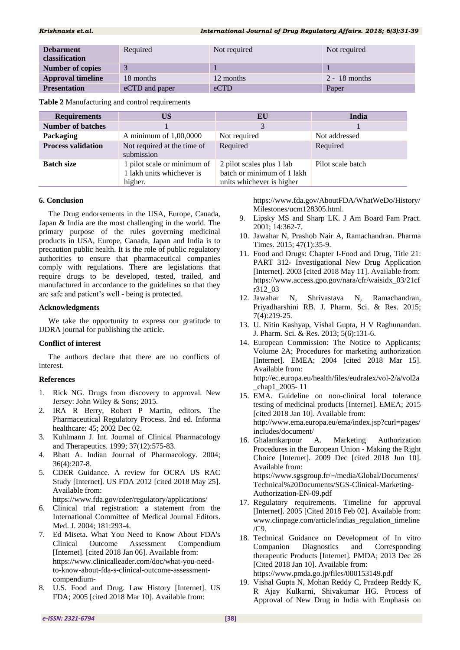| <b>Debarment</b><br>classification | Required       | Not required | Not required    |
|------------------------------------|----------------|--------------|-----------------|
| <b>Number of copies</b>            |                |              |                 |
| <b>Approval timeline</b>           | 18 months      | 12 months    | $2 - 18$ months |
| <b>Presentation</b>                | eCTD and paper | eCTD         | Paper           |

**Table 2** Manufacturing and control requirements

| <b>Requirements</b>       | US                                                                  | EU                                                                                   | India             |
|---------------------------|---------------------------------------------------------------------|--------------------------------------------------------------------------------------|-------------------|
| <b>Number of batches</b>  |                                                                     | 3                                                                                    |                   |
| Packaging                 | A minimum of $1,00,0000$                                            | Not required                                                                         | Not addressed     |
| <b>Process validation</b> | Not required at the time of<br>submission                           | Required                                                                             | Required          |
| <b>Batch size</b>         | 1 pilot scale or minimum of<br>1 lakh units whichever is<br>higher. | 2 pilot scales plus 1 lab<br>batch or minimum of 1 lakh<br>units whichever is higher | Pilot scale batch |

#### **6. Conclusion**

The Drug endorsements in the USA, Europe, Canada, Japan & India are the most challenging in the world. The primary purpose of the rules governing medicinal products in USA, Europe, Canada, Japan and India is to precaution public health. It is the role of public regulatory authorities to ensure that pharmaceutical companies comply with regulations. There are legislations that require drugs to be developed, tested, trailed, and manufactured in accordance to the guidelines so that they are safe and patient's well - being is protected.

#### **Acknowledgments**

We take the opportunity to express our gratitude to IJDRA journal for publishing the article.

#### **Conflict of interest**

The authors declare that there are no conflicts of interest.

#### **References**

- <span id="page-7-0"></span>1. Rick NG. Drugs from discovery to approval. New Jersey: John Wiley & Sons; 2015.
- <span id="page-7-2"></span>2. IRA R Berry, Robert P Martin, editors. The Pharmaceutical Regulatory Process. 2nd ed. Informa healthcare: 45; 2002 Dec 02.
- 3. Kuhlmann J. Int. Journal of Clinical Pharmacology and Therapeutics. 1999; 37(12):575-83.
- <span id="page-7-3"></span>4. Bhatt A. Indian Journal of Pharmacology. 2004; 36(4):207-8.
- <span id="page-7-4"></span>5. CDER Guidance. A review for OCRA US RAC Study [Internet]. US FDA 2012 [cited 2018 May 25]. Available from: https://www.fda.gov/cder/regulatory/applications/
- <span id="page-7-1"></span>6. Clinical trial registration: a statement from the
- International Committee of Medical Journal Editors. Med. J. 2004; 181:293-4.
- <span id="page-7-5"></span>7. Ed Miseta. What You Need to Know About FDA's Clinical Outcome Assessment Compendium [Internet]. [cited 2018 Jan 06]. Available from: https://www.clinicalleader.com/doc/what-you-needto-know-about-fda-s-clinical-outcome-assessmentcompendium-
- <span id="page-7-6"></span>8. U.S. Food and Drug. Law History [Internet]. US FDA; 2005 [cited 2018 Mar 10]. Available from:

https://www.fda.gov/AboutFDA/WhatWeDo/History/ Milestones/ucm128305.html.

- <span id="page-7-7"></span>9. Lipsky MS and Sharp LK. J Am Board Fam Pract. 2001; 14:362-7.
- <span id="page-7-9"></span>10. Jawahar N, Prashob Nair A, Ramachandran. Pharma Times. 2015; 47(1):35-9.
- <span id="page-7-8"></span>11. Food and Drugs: Chapter I-Food and Drug, Title 21: PART 312- Investigational New Drug Application [Internet]. 2003 [cited 2018 May 11]. Available from: https://www.access.gpo.gov/nara/cfr/waisidx\_03/21cf r312\_03
- <span id="page-7-10"></span>12. Jawahar N, Shrivastava N, Ramachandran, Priyadharshini RB. J. Pharm. Sci. & Res. 2015; 7(4):219-25.
- <span id="page-7-11"></span>13. U. Nitin Kashyap, Vishal Gupta, H V Raghunandan. J. Pharm. Sci. & Res. 2013; 5(6):131-6.
- <span id="page-7-12"></span>14. European Commission: The Notice to Applicants; Volume 2A; Procedures for marketing authorization [Internet]. EMEA; 2004 [cited 2018 Mar 15]. Available from: http://ec.europa.eu/health/files/eudralex/vol-2/a/vol2a \_chap1\_2005- 11
- 15. EMA. Guideline on non-clinical local tolerance testing of medicinal products [Internet]. EMEA; 2015 [cited 2018 Jan 10]. Available from: http://www.ema.europa.eu/ema/index.jsp?curl=pages/ includes/document/
- <span id="page-7-13"></span>16. Ghalamkarpour A. Marketing Authorization Procedures in the European Union - Making the Right Choice [Internet]. 2009 Dec [cited 2018 Jun 10]. Available from: https://www.sgsgroup.fr/~/media/Global/Documents/ Technical%20Documents/SGS-Clinical-Marketing-Authorization-EN-09.pdf
- <span id="page-7-14"></span>17. Regulatory requirements. Timeline for approval [Internet]. 2005 [Cited 2018 Feb 02]. Available from: www.clinpage.com/article/indias\_regulation\_timeline /C9.
- <span id="page-7-15"></span>18. Technical Guidance on Development of In vitro Companion Diagnostics and Corresponding therapeutic Products [Internet]. PMDA; 2013 Dec 26 [Cited 2018 Jan 10]. Available from: https://www.pmda.go.jp/files/000153149.pdf
- <span id="page-7-16"></span>19. Vishal Gupta N, Mohan Reddy C, Pradeep Reddy K, R Ajay Kulkarni, Shivakumar HG. Process of Approval of New Drug in India with Emphasis on